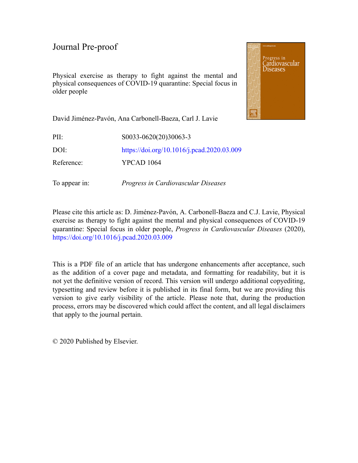Physical exercise as therapy to fight against the mental and physical consequences of COVID-19 quarantine: Special focus in older people



David Jiménez-Pavón, Ana Carbonell-Baeza, Carl J. Lavie

| PII:       | S0033-0620(20)30063-3                      |
|------------|--------------------------------------------|
| DOI:       | https://doi.org/10.1016/j.pcad.2020.03.009 |
| Reference: | <b>YPCAD</b> 1064                          |

To appear in: *Progress in Cardiovascular Diseases*

Please cite this article as: D. Jiménez-Pavón, A. Carbonell-Baeza and C.J. Lavie, Physical exercise as therapy to fight against the mental and physical consequences of COVID-19 quarantine: Special focus in older people, *Progress in Cardiovascular Diseases* (2020), <https://doi.org/10.1016/j.pcad.2020.03.009>

This is a PDF file of an article that has undergone enhancements after acceptance, such as the addition of a cover page and metadata, and formatting for readability, but it is not yet the definitive version of record. This version will undergo additional copyediting, typesetting and review before it is published in its final form, but we are providing this version to give early visibility of the article. Please note that, during the production process, errors may be discovered which could affect the content, and all legal disclaimers that apply to the journal pertain.

© 2020 Published by Elsevier.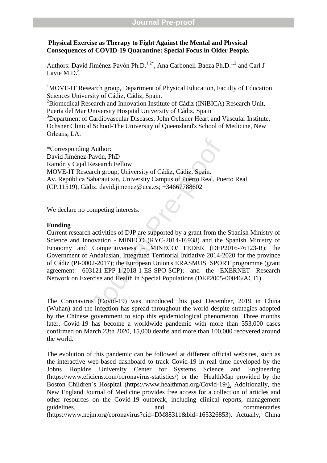## **Physical Exercise as Therapy to Fight Against the Mental and Physical Consequences of COVID -19 Quarantine: Special Focus in Older People.**

Authors: David Jiménez-Pavón Ph.D.<sup>1,2\*</sup>, Ana Carbonell-Baeza Ph.D.<sup>1,2</sup> and Carl J Lavie M.D. $3$ 

<sup>1</sup>MOVE-IT Research group, Department of Physical Education, Faculty of Education Sciences University of Cádiz, Cádiz, Spain.<br><sup>2</sup>Biomedical Research and Innovation Institute of Cádiz (INiBICA) Research Unit,

Puerta del Mar University Hospital University of Cádiz, Spain<br><sup>3</sup>Department of Cardiovascular Diseases, John Ochsner Heart and Vascular Institute,

Ochsner Clinical School -The University of Queensland's School of Medicine, New Orleans, LA.

\*Corresponding Author: David Jiménez -Pavón, PhD Ramón y Cajal Research Fellow MOVE -IT Research group, University of Cádiz, Cádiz, Spain. Av. República Saharaui s/n, University Campus of Puerto Real, Puerto Real (CP.11519), Cádiz. david.jimenez@uca.es; +34667788602

We declare no competing interests.

## **Funding**

Author:<br>
Pavón, PhD<br>
Research Fellow<br>
arch group, University of Cádiz, Cádiz, Spain.<br>
aharaui s/n, University Campus of Puerto Real, Puerto<br>
liz. david.jimenez@uca.es; +34667788602<br>
ompeting interests.<br>
a activities of DJP Current research activities of DJP are supported by a grant from the Spanish Ministry of Science and Innovation - MINECO (RYC-2014-16938) and the Spanish Ministry of Economy and Competitiveness – MINECO/ FEDER (DEP2016-76123-R); the Government of Andalusian, Integrated Territorial Initiative 2014 -2020 for the province of Cádiz (PI -0002 -2017); the European Union's ERASMUS+SPORT programme (grant agreement: 603121-EPP-1-2018-1-ES-SPO-SCP); and the EXERNET Research Network on Exercise and Health in Special Populations (DEP2005 -00046/ACTI).

The Coronavirus (Covid -19) was introduced this past December, 2019 in China (Wuhan) and the infection has spread throughout the world despite strategies adopted by the Chinese government to stop this epidemiological phenomenon. Three months later , Covid -19 has become a worldwide pandemic with more than 353,000 cases confirmed on March 2 3th 2020, 1 5,000 deaths and more than 100,000 recovered around the world.

The evolution of this pandemic can be followed at different official websites , such as the interactive web -based dashboard to track Covid -19 in real time developed by the Johns Hopkins University Center for Systems Science and Engineering (https://www.eficiens.com/coronavirus-statistics/) or the HealthMap provided by the Boston Children's Hospital (https://www.healthmap.org/Covid-19/). Additionally, the New England Journal of Medicine provides free access for a collection of articles and other resources on the Covid -19 outbreak, including clinical reports, management guidelines, and and commentaries (https://www.nejm.org/coronavirus?cid=DM88311&bid=165326853). Actually, China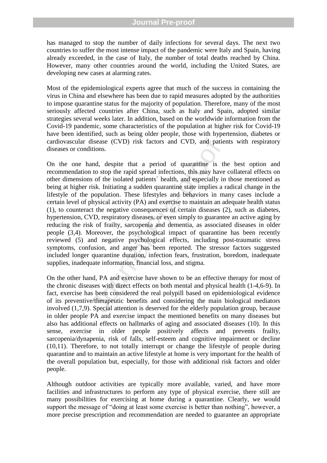## **Journal Pre-proof**

has managed to stop the number of daily infections for several days. The next two countries to suffer the most intense impact of the pandemic were Italy and Spain, having already exceeded, in the case of Italy, the number of total deaths reached by China. However, many other countries around the world, including the United States, are developing new cases at alarming rates .

Most of the epidemiological experts agree that much of the success in containing the virus in China and elsewhere has been due to rapid measures adopted by the authorities to impose quarantine status for the majority of population. Therefore, many of the most seriously affected countries after China, such as Italy and Spain , adopted similar strategies several weeks later. In addition, based on the worldwide information from the Covid -19 pandemic , some characteristics of the population at higher risk for Covid -19 have been identified , such as being older people, those with hypertension, diabetes or cardiovascular disease (CVD) risk factors and CVD, and patients with respiratory diseases or conditions.

disease (CVD) risk factors and CVD, and patie<br>itions.<br>and, despite that a period of quarantine is th<br>to stop the rapid spread infections, this may have<br>so for he isolated patients' health, and especially in<br>risk. Initiatin On the one hand, despite that a period of quarantine is the best option and recommendation to stop the rapid spread infections, this may have collateral effects on other dimensions of the isolated patients´ health, and especially in those mentioned as being at higher risk. Initiating a sudden quarantine state implies a radical change in the lifestyle of the population . These lifestyles and behaviors in many cases include a certain level of physical activity (PA) and exercise to maintain an adequate health status (1), to counteract the negative consequences of certain diseases (2) , such as diabetes, hypertension, CVD, respiratory diseases, or even simply to guarantee a n active aging by reducing the risk of frailty, sarcopenia and dementia , as associated diseases in older people (3,4) . Moreover, the psychological impact of quarantine has been recently reviewed ( 5) and negative psychological effects , including post -traumatic stress symptoms, confusion, and anger has been reported. The stressor factors suggested included longer quarantine duration, infection fears, frustration, boredom, inadequate supplies, inadequate information, financial loss, and stigma.

On the other hand, PA and exercise have shown to be an effective therapy for most of the chronic diseases with direct effects on both mental and physical health (1-4,6-9). In fact, exercise has been considered the real polypill based on epidemiological evidence of its preventive/therapeutic benefits and considering the main biological mediators involved (1,7, 9). Special attention is deserved for the elderly population group, because in older people PA and exercise impact the mentioned benefits on many diseases but also has additional effects on hallmarks of aging and associated disease s (10). In this sense, exercise in older people positively affects and prevents frailty, sarcopenia/dynapenia, risk of falls, self-esteem and cognitive impairment or decline (10,11). Therefore, to not totally interrupt or change the lifestyle of people during quarantine and to maintain an active lifestyle at home is very important for the health of the overall population but , especially , for those with additional risk factors and older people.

Although outdoor activities are typically more available, varied, and have more facilities and infrastructures to perform any type of physical exercise, there still are many possibilities for exercising at home during a quarantine. Clearly, we would support the message of "doing at least some exercise is better than nothing", however, a more precise prescription and recommendation are needed to guarantee an appropriate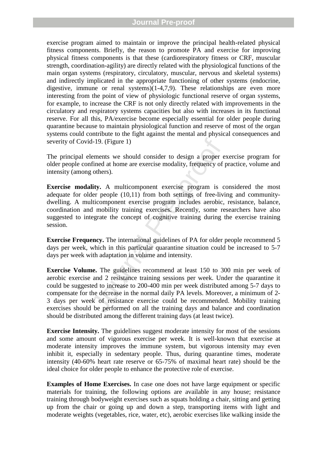exercise program aimed to maintain or improve the principal health -related physical fitness components. Briefly, the reason to promot e PA and exercise for improving physical fitness components is that these (cardiorespiratory fitness or CRF, muscular strength, coordination -agility) are directly related with the physiological function s of the main organ systems (respiratory, circulatory, muscular, nervous and skeletal systems) and indirectly implicated in the appropriate functioning of other systems (endocrine, digestive, immune or renal systems) $(1-4,7,9)$ . These relationships are even more interesting from the point of view of physiologic functional reserve of organ system s, for example , to increase the CRF is not only directly related with improvements in the circulatory and respiratory systems capacities but also with increase s in its functional reserve. For all this, PA/exercise become especially essential for older people during quarantine because to maintain physiological function and reserve of most of the organ systems could contribute to the fight against the mental and physical consequences and severity of Covid-19. (Figure 1)

The principal elements we should consider to design a proper exercise program for older people confined at home are exercise modality, frequency of practice, volume and intensity (among others).

**Exercise modality.** A multicomponent exercise program is considered the most adequate for older people (10,11) from both settings of free-living and communitydwelling. A multicomponent exercise program includes aerobic, resistance, balance, coordination and mobility training exercises. Recently, some researchers have also suggested to integrate the concept of cognitive training during the exercise training session.

**Exercise Frequency.** The international guidelines of PA for older people recommend 5 days per week, which in this particular quarantine situation could be increased to 5-7 days per week with adaptation in volume an d intensity.

d-19. (Figure 1)<br>lements we should consider to design a proper e<br>fined at home are exercise modality, frequency of<br>g others).<br>**lity.** A multicomponent exercise program is c<br>der people (10,11) from both settings of free-liv **Exercise Volume.** The guidelines recommend at least 150 to 300 min per week of aerobic exercise and 2 resistance training sessions per week. Under the quarantine it could be suggested to increase t o 200 -400 min per week distributed among 5 -7 days to compensate for the decrease in the normal daily PA level s. Moreover, a minimum of 2 - 3 days per week of resistance exercise could be recommended . Mobility training exercises should be performed on all the training days and balance and coordination should be distributed among the different training days (at least twice).

**Exercise Intensity.** The guidelines suggest moderate intensity for most of the sessions and some amount of vigorous exercise per week. It is well -known that exercise at moderate intensity improves the immune system , but vigorous intensity may even inhibit it, especially in sedentary people. Thus, during quarantine times, moderate intensity (40 -60% heart rate reserve or 65 -75% of maximal heart rate) should be the ideal choice for older people to enhance the protective role of exercise.

**Examples of Home Exercises.** In case one does not have large equipment or specific materials for training, the following options are available in any house; resistance training through bodyweight exercises such as squats holding a chair, sitting and getting up from the chair or going up and down a step, transporting items with light and moderate weights (vegetables, rice, water, etc) , aerobic exercises like walking inside the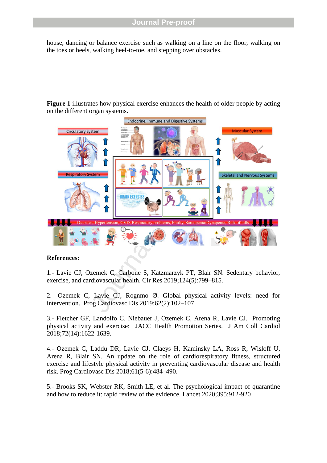house, dancing or balance exercise such as walking on a line on the floor, walking on the toes or heels, walking heel -to -toe, and stepping over obstacles .

**Figure 1** illustrates how physical exercise enhances the health of older people by acting on the different organ systems.



## **References:**

1. - Lavie CJ, Ozemek C, Carbone S, Katzmarzyk PT, Blair SN. Sedentary behavior, exercise, and cardiovascular health. Cir Res 2019;124(5):799 –815.

2. - Ozemek C, Lavie CJ, Rognmo Ø. Global physical activity levels: need for intervention. Prog Cardiovasc Dis 2019;62(2):102 –107.

3. - Fletcher GF, Landolfo C, Niebauer J, Ozemek C, Arena R, Lavie CJ. Promoting physical activity and exercise: JACC Health Promotion Series. J Am Coll Cardiol 2018;72(14):1622 -1639.

4. - Ozemek C, Laddu DR, Lavie CJ, Claeys H, Kaminsky LA, Ross R, Wisloff U, Arena R, Blair SN. An update on the role of cardiorespiratory fitness, structured exercise and lifestyle physical activity in preventing cardiovascular disease and health risk. Prog Cardiovasc Dis 2018;61(5 -6):484 –490.

5. - Brooks SK, Webster RK, Smith LE, et al. The psychological impact of quarantine and how to reduce it: rapid review of the evidence. Lancet 2020;395:912 -920